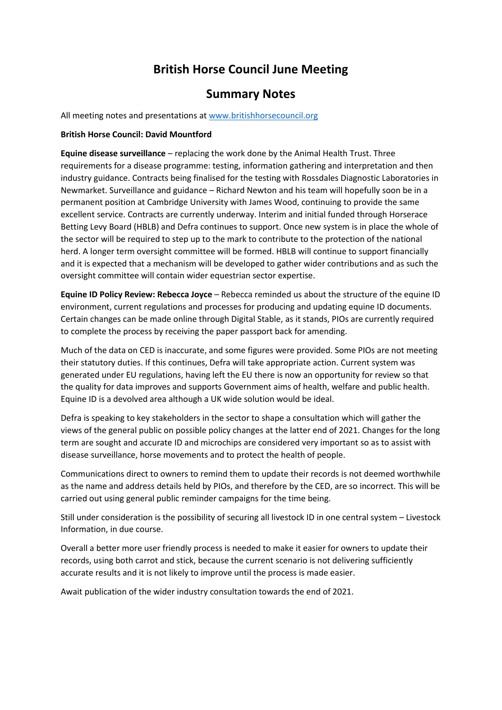## **British Horse Council June Meeting**

### **Summary Notes**

All meeting notes and presentations a[t www.britishhorsecouncil.org](http://www.britishhorsecouncil.org/)

#### **British Horse Council: David Mountford**

**Equine disease surveillance** – replacing the work done by the Animal Health Trust. Three requirements for a disease programme: testing, information gathering and interpretation and then industry guidance. Contracts being finalised for the testing with Rossdales Diagnostic Laboratories in Newmarket. Surveillance and guidance – Richard Newton and his team will hopefully soon be in a permanent position at Cambridge University with James Wood, continuing to provide the same excellent service. Contracts are currently underway. Interim and initial funded through Horserace Betting Levy Board (HBLB) and Defra continues to support. Once new system is in place the whole of the sector will be required to step up to the mark to contribute to the protection of the national herd. A longer term oversight committee will be formed. HBLB will continue to support financially and it is expected that a mechanism will be developed to gather wider contributions and as such the oversight committee will contain wider equestrian sector expertise.

**Equine ID Policy Review: Rebecca Joyce** – Rebecca reminded us about the structure of the equine ID environment, current regulations and processes for producing and updating equine ID documents. Certain changes can be made online through Digital Stable, as it stands, PIOs are currently required to complete the process by receiving the paper passport back for amending.

Much of the data on CED is inaccurate, and some figures were provided. Some PIOs are not meeting their statutory duties. If this continues, Defra will take appropriate action. Current system was generated under EU regulations, having left the EU there is now an opportunity for review so that the quality for data improves and supports Government aims of health, welfare and public health. Equine ID is a devolved area although a UK wide solution would be ideal.

Defra is speaking to key stakeholders in the sector to shape a consultation which will gather the views of the general public on possible policy changes at the latter end of 2021. Changes for the long term are sought and accurate ID and microchips are considered very important so as to assist with disease surveillance, horse movements and to protect the health of people.

Communications direct to owners to remind them to update their records is not deemed worthwhile as the name and address details held by PIOs, and therefore by the CED, are so incorrect. This will be carried out using general public reminder campaigns for the time being.

Still under consideration is the possibility of securing all livestock ID in one central system – Livestock Information, in due course.

Overall a better more user friendly process is needed to make it easier for owners to update their records, using both carrot and stick, because the current scenario is not delivering sufficiently accurate results and it is not likely to improve until the process is made easier.

Await publication of the wider industry consultation towards the end of 2021.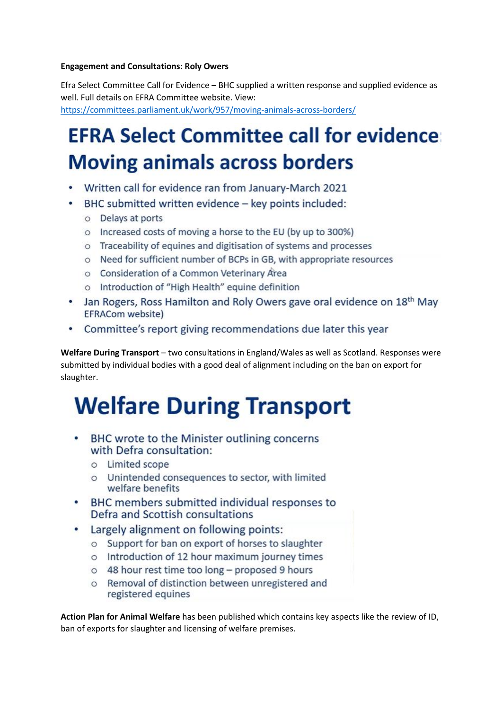#### **Engagement and Consultations: Roly Owers**

Efra Select Committee Call for Evidence – BHC supplied a written response and supplied evidence as well. Full details on EFRA Committee website. View: <https://committees.parliament.uk/work/957/moving-animals-across-borders/>

# **EFRA Select Committee call for evidence: Moving animals across borders**

- Written call for evidence ran from January-March 2021
- BHC submitted written evidence key points included: ۰
	- o Delays at ports
	- o Increased costs of moving a horse to the EU (by up to 300%)
	- o Traceability of equines and digitisation of systems and processes
	- o Need for sufficient number of BCPs in GB, with appropriate resources
	- o Consideration of a Common Veterinary Area
	- o Introduction of "High Health" equine definition
- Jan Rogers, Ross Hamilton and Roly Owers gave oral evidence on 18<sup>th</sup> May EFRACom website)
- Committee's report giving recommendations due later this year

**Welfare During Transport** – two consultations in England/Wales as well as Scotland. Responses were submitted by individual bodies with a good deal of alignment including on the ban on export for slaughter.

# **Welfare During Transport**

- BHC wrote to the Minister outlining concerns with Defra consultation:
	- o Limited scope
	- o Unintended consequences to sector, with limited welfare benefits
- BHC members submitted individual responses to Defra and Scottish consultations
- Largely alignment on following points:
	- o Support for ban on export of horses to slaughter
	- o Introduction of 12 hour maximum journey times
	- o 48 hour rest time too long proposed 9 hours
	- o Removal of distinction between unregistered and registered equines

**Action Plan for Animal Welfare** has been published which contains key aspects like the review of ID, ban of exports for slaughter and licensing of welfare premises.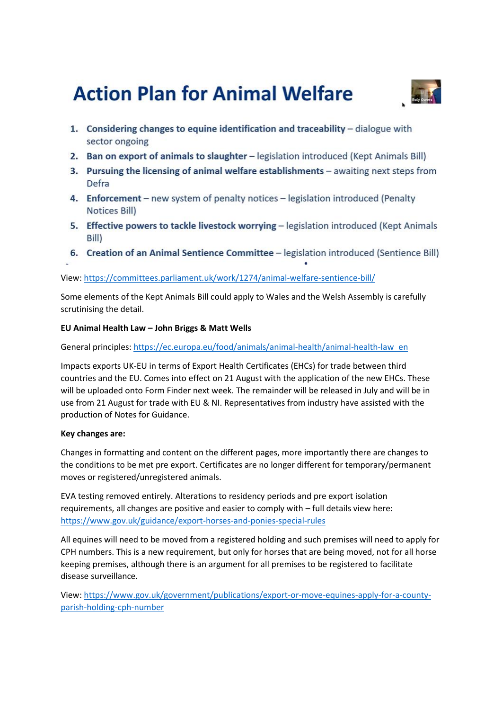## **Action Plan for Animal Welfare**



- 1. Considering changes to equine identification and traceability dialogue with sector ongoing
- 2. Ban on export of animals to slaughter legislation introduced (Kept Animals Bill)
- 3. Pursuing the licensing of animal welfare establishments awaiting next steps from Defra
- 4. Enforcement new system of penalty notices legislation introduced (Penalty Notices Bill)
- 5. Effective powers to tackle livestock worrying legislation introduced (Kept Animals Bill)
- 6. Creation of an Animal Sentience Committee legislation introduced (Sentience Bill)

#### View[: https://committees.parliament.uk/work/1274/animal-welfare-sentience-bill/](https://committees.parliament.uk/work/1274/animal-welfare-sentience-bill/)

Some elements of the Kept Animals Bill could apply to Wales and the Welsh Assembly is carefully scrutinising the detail.

#### **EU Animal Health Law – John Briggs & Matt Wells**

General principles: [https://ec.europa.eu/food/animals/animal-health/animal-health-law\\_en](https://ec.europa.eu/food/animals/animal-health/animal-health-law_en)

Impacts exports UK-EU in terms of Export Health Certificates (EHCs) for trade between third countries and the EU. Comes into effect on 21 August with the application of the new EHCs. These will be uploaded onto Form Finder next week. The remainder will be released in July and will be in use from 21 August for trade with EU & NI. Representatives from industry have assisted with the production of Notes for Guidance.

#### **Key changes are:**

Changes in formatting and content on the different pages, more importantly there are changes to the conditions to be met pre export. Certificates are no longer different for temporary/permanent moves or registered/unregistered animals.

EVA testing removed entirely. Alterations to residency periods and pre export isolation requirements, all changes are positive and easier to comply with – full details view here: <https://www.gov.uk/guidance/export-horses-and-ponies-special-rules>

All equines will need to be moved from a registered holding and such premises will need to apply for CPH numbers. This is a new requirement, but only for horses that are being moved, not for all horse keeping premises, although there is an argument for all premises to be registered to facilitate disease surveillance.

View[: https://www.gov.uk/government/publications/export-or-move-equines-apply-for-a-county](https://www.gov.uk/government/publications/export-or-move-equines-apply-for-a-county-parish-holding-cph-number)[parish-holding-cph-number](https://www.gov.uk/government/publications/export-or-move-equines-apply-for-a-county-parish-holding-cph-number)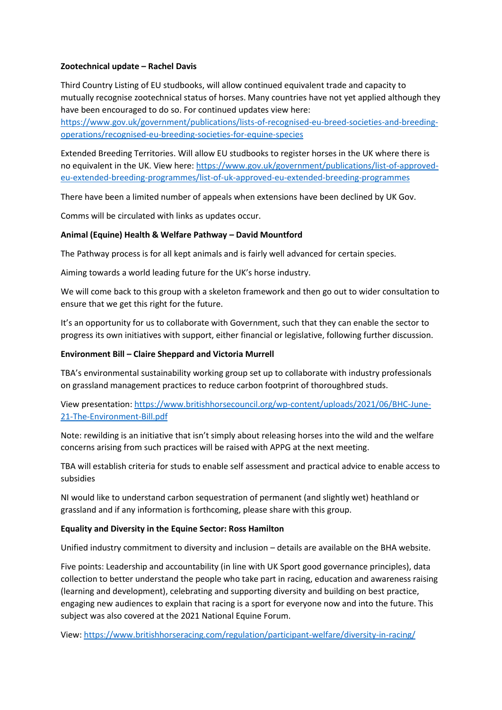#### **Zootechnical update – Rachel Davis**

Third Country Listing of EU studbooks, will allow continued equivalent trade and capacity to mutually recognise zootechnical status of horses. Many countries have not yet applied although they have been encouraged to do so. For continued updates view here:

[https://www.gov.uk/government/publications/lists-of-recognised-eu-breed-societies-and-breeding](https://www.gov.uk/government/publications/lists-of-recognised-eu-breed-societies-and-breeding-operations/recognised-eu-breeding-societies-for-equine-species)[operations/recognised-eu-breeding-societies-for-equine-species](https://www.gov.uk/government/publications/lists-of-recognised-eu-breed-societies-and-breeding-operations/recognised-eu-breeding-societies-for-equine-species)

Extended Breeding Territories. Will allow EU studbooks to register horses in the UK where there is no equivalent in the UK. View here[: https://www.gov.uk/government/publications/list-of-approved](https://www.gov.uk/government/publications/list-of-approved-eu-extended-breeding-programmes/list-of-uk-approved-eu-extended-breeding-programmes)[eu-extended-breeding-programmes/list-of-uk-approved-eu-extended-breeding-programmes](https://www.gov.uk/government/publications/list-of-approved-eu-extended-breeding-programmes/list-of-uk-approved-eu-extended-breeding-programmes)

There have been a limited number of appeals when extensions have been declined by UK Gov.

Comms will be circulated with links as updates occur.

#### **Animal (Equine) Health & Welfare Pathway – David Mountford**

The Pathway process is for all kept animals and is fairly well advanced for certain species.

Aiming towards a world leading future for the UK's horse industry.

We will come back to this group with a skeleton framework and then go out to wider consultation to ensure that we get this right for the future.

It's an opportunity for us to collaborate with Government, such that they can enable the sector to progress its own initiatives with support, either financial or legislative, following further discussion.

#### **Environment Bill – Claire Sheppard and Victoria Murrell**

TBA's environmental sustainability working group set up to collaborate with industry professionals on grassland management practices to reduce carbon footprint of thoroughbred studs.

#### View presentation[: https://www.britishhorsecouncil.org/wp-content/uploads/2021/06/BHC-June-](https://www.britishhorsecouncil.org/wp-content/uploads/2021/06/BHC-June-21-The-Environment-Bill.pdf)[21-The-Environment-Bill.pdf](https://www.britishhorsecouncil.org/wp-content/uploads/2021/06/BHC-June-21-The-Environment-Bill.pdf)

Note: rewilding is an initiative that isn't simply about releasing horses into the wild and the welfare concerns arising from such practices will be raised with APPG at the next meeting.

TBA will establish criteria for studs to enable self assessment and practical advice to enable access to subsidies

NI would like to understand carbon sequestration of permanent (and slightly wet) heathland or grassland and if any information is forthcoming, please share with this group.

#### **Equality and Diversity in the Equine Sector: Ross Hamilton**

Unified industry commitment to diversity and inclusion – details are available on the BHA website.

Five points: Leadership and accountability (in line with UK Sport good governance principles), data collection to better understand the people who take part in racing, education and awareness raising (learning and development), celebrating and supporting diversity and building on best practice, engaging new audiences to explain that racing is a sport for everyone now and into the future. This subject was also covered at the 2021 National Equine Forum.

View[: https://www.britishhorseracing.com/regulation/participant-welfare/diversity-in-racing/](https://www.britishhorseracing.com/regulation/participant-welfare/diversity-in-racing/)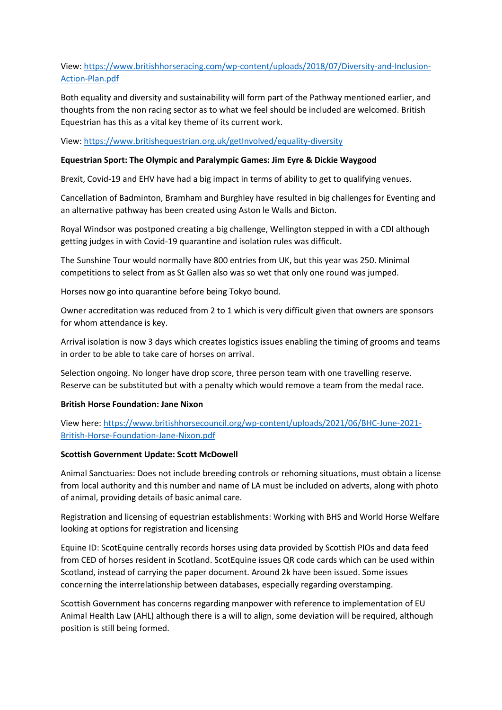#### View[: https://www.britishhorseracing.com/wp-content/uploads/2018/07/Diversity-and-Inclusion-](https://www.britishhorseracing.com/wp-content/uploads/2018/07/Diversity-and-Inclusion-Action-Plan.pdf)[Action-Plan.pdf](https://www.britishhorseracing.com/wp-content/uploads/2018/07/Diversity-and-Inclusion-Action-Plan.pdf)

Both equality and diversity and sustainability will form part of the Pathway mentioned earlier, and thoughts from the non racing sector as to what we feel should be included are welcomed. British Equestrian has this as a vital key theme of its current work.

View[: https://www.britishequestrian.org.uk/getInvolved/equality-diversity](https://www.britishequestrian.org.uk/getInvolved/equality-diversity)

#### **Equestrian Sport: The Olympic and Paralympic Games: Jim Eyre & Dickie Waygood**

Brexit, Covid-19 and EHV have had a big impact in terms of ability to get to qualifying venues.

Cancellation of Badminton, Bramham and Burghley have resulted in big challenges for Eventing and an alternative pathway has been created using Aston le Walls and Bicton.

Royal Windsor was postponed creating a big challenge, Wellington stepped in with a CDI although getting judges in with Covid-19 quarantine and isolation rules was difficult.

The Sunshine Tour would normally have 800 entries from UK, but this year was 250. Minimal competitions to select from as St Gallen also was so wet that only one round was jumped.

Horses now go into quarantine before being Tokyo bound.

Owner accreditation was reduced from 2 to 1 which is very difficult given that owners are sponsors for whom attendance is key.

Arrival isolation is now 3 days which creates logistics issues enabling the timing of grooms and teams in order to be able to take care of horses on arrival.

Selection ongoing. No longer have drop score, three person team with one travelling reserve. Reserve can be substituted but with a penalty which would remove a team from the medal race.

#### **British Horse Foundation: Jane Nixon**

View here[: https://www.britishhorsecouncil.org/wp-content/uploads/2021/06/BHC-June-2021-](https://www.britishhorsecouncil.org/wp-content/uploads/2021/06/BHC-June-2021-British-Horse-Foundation-Jane-Nixon.pdf) [British-Horse-Foundation-Jane-Nixon.pdf](https://www.britishhorsecouncil.org/wp-content/uploads/2021/06/BHC-June-2021-British-Horse-Foundation-Jane-Nixon.pdf)

#### **Scottish Government Update: Scott McDowell**

Animal Sanctuaries: Does not include breeding controls or rehoming situations, must obtain a license from local authority and this number and name of LA must be included on adverts, along with photo of animal, providing details of basic animal care.

Registration and licensing of equestrian establishments: Working with BHS and World Horse Welfare looking at options for registration and licensing

Equine ID: ScotEquine centrally records horses using data provided by Scottish PIOs and data feed from CED of horses resident in Scotland. ScotEquine issues QR code cards which can be used within Scotland, instead of carrying the paper document. Around 2k have been issued. Some issues concerning the interrelationship between databases, especially regarding overstamping.

Scottish Government has concerns regarding manpower with reference to implementation of EU Animal Health Law (AHL) although there is a will to align, some deviation will be required, although position is still being formed.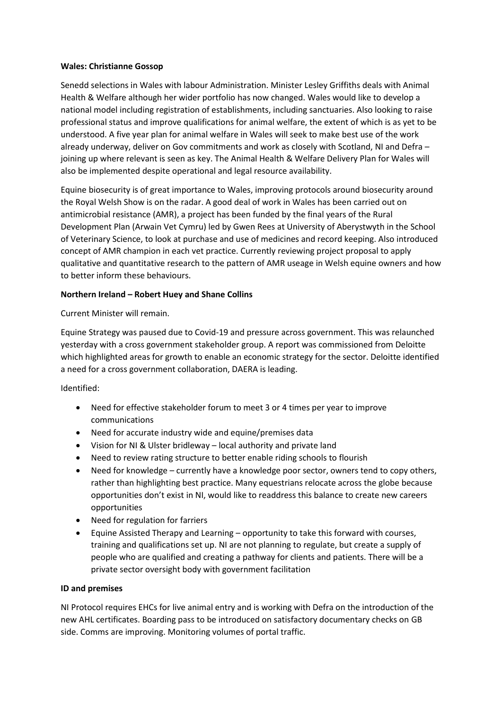#### **Wales: Christianne Gossop**

Senedd selections in Wales with labour Administration. Minister Lesley Griffiths deals with Animal Health & Welfare although her wider portfolio has now changed. Wales would like to develop a national model including registration of establishments, including sanctuaries. Also looking to raise professional status and improve qualifications for animal welfare, the extent of which is as yet to be understood. A five year plan for animal welfare in Wales will seek to make best use of the work already underway, deliver on Gov commitments and work as closely with Scotland, NI and Defra – joining up where relevant is seen as key. The Animal Health & Welfare Delivery Plan for Wales will also be implemented despite operational and legal resource availability.

Equine biosecurity is of great importance to Wales, improving protocols around biosecurity around the Royal Welsh Show is on the radar. A good deal of work in Wales has been carried out on antimicrobial resistance (AMR), a project has been funded by the final years of the Rural Development Plan (Arwain Vet Cymru) led by Gwen Rees at University of Aberystwyth in the School of Veterinary Science, to look at purchase and use of medicines and record keeping. Also introduced concept of AMR champion in each vet practice. Currently reviewing project proposal to apply qualitative and quantitative research to the pattern of AMR useage in Welsh equine owners and how to better inform these behaviours.

#### **Northern Ireland – Robert Huey and Shane Collins**

Current Minister will remain.

Equine Strategy was paused due to Covid-19 and pressure across government. This was relaunched yesterday with a cross government stakeholder group. A report was commissioned from Deloitte which highlighted areas for growth to enable an economic strategy for the sector. Deloitte identified a need for a cross government collaboration, DAERA is leading.

Identified:

- Need for effective stakeholder forum to meet 3 or 4 times per year to improve communications
- Need for accurate industry wide and equine/premises data
- Vision for NI & Ulster bridleway local authority and private land
- Need to review rating structure to better enable riding schools to flourish
- Need for knowledge currently have a knowledge poor sector, owners tend to copy others, rather than highlighting best practice. Many equestrians relocate across the globe because opportunities don't exist in NI, would like to readdress this balance to create new careers opportunities
- Need for regulation for farriers
- Equine Assisted Therapy and Learning opportunity to take this forward with courses, training and qualifications set up. NI are not planning to regulate, but create a supply of people who are qualified and creating a pathway for clients and patients. There will be a private sector oversight body with government facilitation

#### **ID and premises**

NI Protocol requires EHCs for live animal entry and is working with Defra on the introduction of the new AHL certificates. Boarding pass to be introduced on satisfactory documentary checks on GB side. Comms are improving. Monitoring volumes of portal traffic.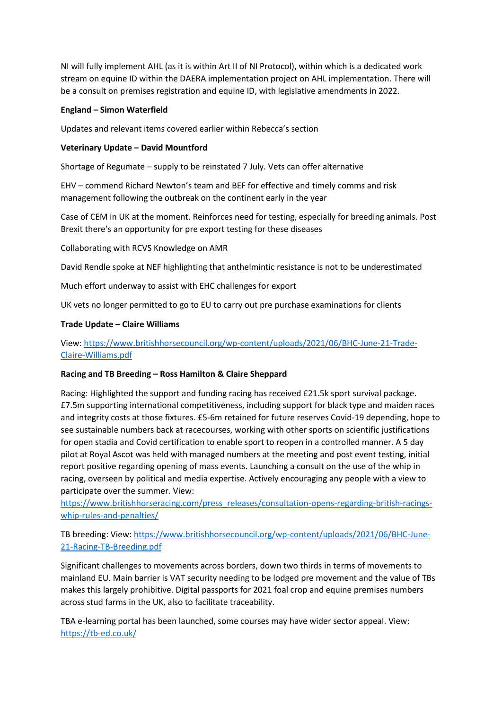NI will fully implement AHL (as it is within Art II of NI Protocol), within which is a dedicated work stream on equine ID within the DAERA implementation project on AHL implementation. There will be a consult on premises registration and equine ID, with legislative amendments in 2022.

#### **England – Simon Waterfield**

Updates and relevant items covered earlier within Rebecca's section

#### **Veterinary Update – David Mountford**

Shortage of Regumate – supply to be reinstated 7 July. Vets can offer alternative

EHV – commend Richard Newton's team and BEF for effective and timely comms and risk management following the outbreak on the continent early in the year

Case of CEM in UK at the moment. Reinforces need for testing, especially for breeding animals. Post Brexit there's an opportunity for pre export testing for these diseases

Collaborating with RCVS Knowledge on AMR

David Rendle spoke at NEF highlighting that anthelmintic resistance is not to be underestimated

Much effort underway to assist with EHC challenges for export

UK vets no longer permitted to go to EU to carry out pre purchase examinations for clients

#### **Trade Update – Claire Williams**

#### View[: https://www.britishhorsecouncil.org/wp-content/uploads/2021/06/BHC-June-21-Trade-](https://www.britishhorsecouncil.org/wp-content/uploads/2021/06/BHC-June-21-Trade-Claire-Williams.pdf)[Claire-Williams.pdf](https://www.britishhorsecouncil.org/wp-content/uploads/2021/06/BHC-June-21-Trade-Claire-Williams.pdf)

#### **Racing and TB Breeding – Ross Hamilton & Claire Sheppard**

Racing: Highlighted the support and funding racing has received £21.5k sport survival package. £7.5m supporting international competitiveness, including support for black type and maiden races and integrity costs at those fixtures. £5-6m retained for future reserves Covid-19 depending, hope to see sustainable numbers back at racecourses, working with other sports on scientific justifications for open stadia and Covid certification to enable sport to reopen in a controlled manner. A 5 day pilot at Royal Ascot was held with managed numbers at the meeting and post event testing, initial report positive regarding opening of mass events. Launching a consult on the use of the whip in racing, overseen by political and media expertise. Actively encouraging any people with a view to participate over the summer. View:

[https://www.britishhorseracing.com/press\\_releases/consultation-opens-regarding-british-racings](https://www.britishhorseracing.com/press_releases/consultation-opens-regarding-british-racings-whip-rules-and-penalties/)[whip-rules-and-penalties/](https://www.britishhorseracing.com/press_releases/consultation-opens-regarding-british-racings-whip-rules-and-penalties/)

TB breeding: View[: https://www.britishhorsecouncil.org/wp-content/uploads/2021/06/BHC-June-](https://www.britishhorsecouncil.org/wp-content/uploads/2021/06/BHC-June-21-Racing-TB-Breeding.pdf)[21-Racing-TB-Breeding.pdf](https://www.britishhorsecouncil.org/wp-content/uploads/2021/06/BHC-June-21-Racing-TB-Breeding.pdf)

Significant challenges to movements across borders, down two thirds in terms of movements to mainland EU. Main barrier is VAT security needing to be lodged pre movement and the value of TBs makes this largely prohibitive. Digital passports for 2021 foal crop and equine premises numbers across stud farms in the UK, also to facilitate traceability.

TBA e-learning portal has been launched, some courses may have wider sector appeal. View: <https://tb-ed.co.uk/>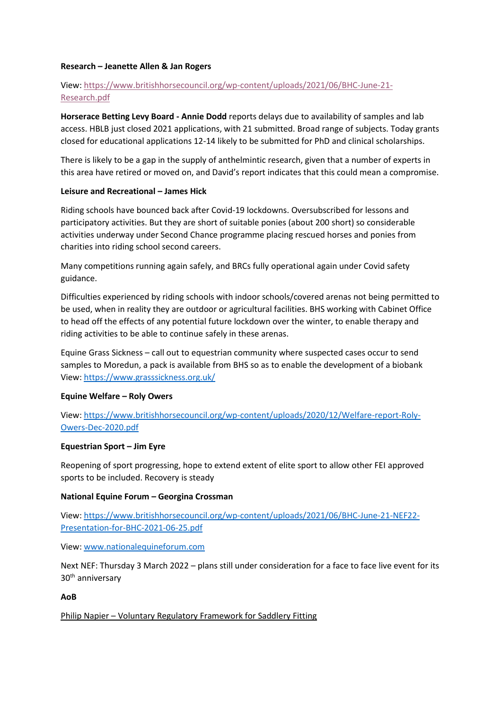#### **Research – Jeanette Allen & Jan Rogers**

#### View[: https://www.britishhorsecouncil.org/wp-content/uploads/2021/06/BHC-June-21-](https://www.britishhorsecouncil.org/wp-content/uploads/2021/06/BHC-June-21-Research.pdf) [Research.pdf](https://www.britishhorsecouncil.org/wp-content/uploads/2021/06/BHC-June-21-Research.pdf)

**Horserace Betting Levy Board - Annie Dodd** reports delays due to availability of samples and lab access. HBLB just closed 2021 applications, with 21 submitted. Broad range of subjects. Today grants closed for educational applications 12-14 likely to be submitted for PhD and clinical scholarships.

There is likely to be a gap in the supply of anthelmintic research, given that a number of experts in this area have retired or moved on, and David's report indicates that this could mean a compromise.

#### **Leisure and Recreational – James Hick**

Riding schools have bounced back after Covid-19 lockdowns. Oversubscribed for lessons and participatory activities. But they are short of suitable ponies (about 200 short) so considerable activities underway under Second Chance programme placing rescued horses and ponies from charities into riding school second careers.

Many competitions running again safely, and BRCs fully operational again under Covid safety guidance.

Difficulties experienced by riding schools with indoor schools/covered arenas not being permitted to be used, when in reality they are outdoor or agricultural facilities. BHS working with Cabinet Office to head off the effects of any potential future lockdown over the winter, to enable therapy and riding activities to be able to continue safely in these arenas.

Equine Grass Sickness – call out to equestrian community where suspected cases occur to send samples to Moredun, a pack is available from BHS so as to enable the development of a biobank View[: https://www.grasssickness.org.uk/](https://www.grasssickness.org.uk/)

#### **Equine Welfare – Roly Owers**

View[: https://www.britishhorsecouncil.org/wp-content/uploads/2020/12/Welfare-report-Roly-](https://www.britishhorsecouncil.org/wp-content/uploads/2020/12/Welfare-report-Roly-Owers-Dec-2020.pdf)[Owers-Dec-2020.pdf](https://www.britishhorsecouncil.org/wp-content/uploads/2020/12/Welfare-report-Roly-Owers-Dec-2020.pdf)

#### **Equestrian Sport – Jim Eyre**

Reopening of sport progressing, hope to extend extent of elite sport to allow other FEI approved sports to be included. Recovery is steady

#### **National Equine Forum – Georgina Crossman**

View[: https://www.britishhorsecouncil.org/wp-content/uploads/2021/06/BHC-June-21-NEF22-](https://www.britishhorsecouncil.org/wp-content/uploads/2021/06/BHC-June-21-NEF22-Presentation-for-BHC-2021-06-25.pdf) [Presentation-for-BHC-2021-06-25.pdf](https://www.britishhorsecouncil.org/wp-content/uploads/2021/06/BHC-June-21-NEF22-Presentation-for-BHC-2021-06-25.pdf)

View[: www.nationalequineforum.com](http://www.nationalequineforum.com/)

Next NEF: Thursday 3 March 2022 – plans still under consideration for a face to face live event for its 30th anniversary

#### **AoB**

Philip Napier – Voluntary Regulatory Framework for Saddlery Fitting